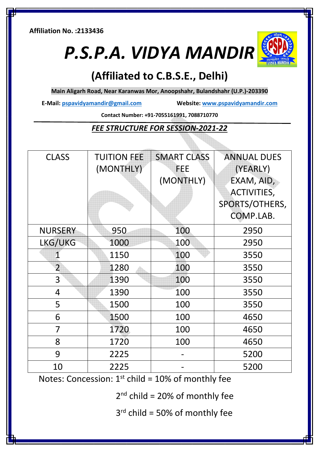**Affiliation No. :2133436** 

*P.S.P.A. VIDYA MANDIR*



# **(Affiliated to C.B.S.E., Delhi)**

**Main Aligarh Road, Near Karanwas Mor, Anoopshahr, Bulandshahr (U.P.)-203390** 

**E-Mail: pspavidyamandir@gmail.com Website: www.pspavidyamandir.com**

**Contact Number: +91-7055161991, 7088710770** 

#### *FEE STRUCTURE FOR SESSION-2021-22*

| <b>CLASS</b>   | <b>TUITION FEE</b><br>(MONTHLY) | <b>SMART CLASS</b><br><b>FEE</b><br>(MONTHLY) | <b>ANNUAL DUES</b><br>(YEARLY)<br>EXAM, AID,<br>ACTIVITIES, |  |
|----------------|---------------------------------|-----------------------------------------------|-------------------------------------------------------------|--|
|                |                                 |                                               | SPORTS/OTHERS,<br>COMP.LAB.                                 |  |
| <b>NURSERY</b> | 950                             | 100                                           | 2950                                                        |  |
| LKG/UKG        | 1000                            | 100                                           | 2950                                                        |  |
| 1              | 1150                            | 100                                           | 3550                                                        |  |
| $\overline{2}$ | 1280                            | 100                                           | 3550                                                        |  |
| 3              | 1390                            | 100                                           | 3550                                                        |  |
| 4              | 1390                            | 100                                           | 3550                                                        |  |
| 5              | 1500                            | 100                                           | 3550                                                        |  |
| 6              | 1500                            | 100                                           | 4650                                                        |  |
| 7              | 1720                            | 100                                           | 4650                                                        |  |
| 8              | 1720                            | 100                                           | 4650                                                        |  |
| 9              | 2225                            |                                               | 5200                                                        |  |
| 10             | 2225                            |                                               | 5200                                                        |  |

Notes: Concession:  $1<sup>st</sup>$  child = 10% of monthly fee

 $2<sup>nd</sup>$  child = 20% of monthly fee

 $3<sup>rd</sup>$  child = 50% of monthly fee